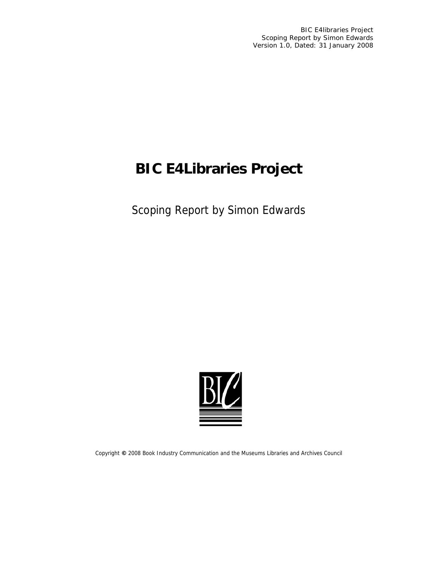BIC E4libraries Project Scoping Report by Simon Edwards Version 1.0, Dated: 31 January 2008

# **BIC E4Libraries Project**

Scoping Report by Simon Edwards



Copyright **©** 2008 Book Industry Communication and the Museums Libraries and Archives Council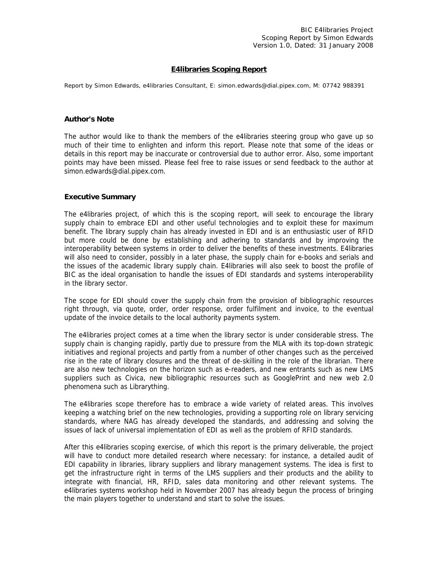# **E4libraries Scoping Report**

*Report by Simon Edwards, e4libraries Consultant, E: [simon.edwards@dial.pipex.com](mailto:simon.edwards@dial.pipex.com), M: 07742 988391* 

#### **Author's Note**

The author would like to thank the members of the e4libraries steering group who gave up so much of their time to enlighten and inform this report. Please note that some of the ideas or details in this report may be inaccurate or controversial due to author error. Also, some important points may have been missed. Please feel free to raise issues or send feedback to the author at simon.edwards@dial.pipex.com.

#### **Executive Summary**

The e4libraries project, of which this is the scoping report, will seek to encourage the library supply chain to embrace EDI and other useful technologies and to exploit these for maximum benefit. The library supply chain has already invested in EDI and is an enthusiastic user of RFID but more could be done by establishing and adhering to standards and by improving the interoperability between systems in order to deliver the benefits of these investments. E4libraries will also need to consider, possibly in a later phase, the supply chain for e-books and serials and the issues of the academic library supply chain. E4libraries will also seek to boost the profile of BIC as the ideal organisation to handle the issues of EDI standards and systems interoperability in the library sector.

The scope for EDI should cover the supply chain from the provision of bibliographic resources right through, via quote, order, order response, order fulfilment and invoice, to the eventual update of the invoice details to the local authority payments system.

The e4libraries project comes at a time when the library sector is under considerable stress. The supply chain is changing rapidly, partly due to pressure from the MLA with its top-down strategic initiatives and regional projects and partly from a number of other changes such as the perceived rise in the rate of library closures and the threat of de-skilling in the role of the librarian. There are also new technologies on the horizon such as e-readers, and new entrants such as new LMS suppliers such as Civica, new bibliographic resources such as GooglePrint and new web 2.0 phenomena such as Librarything.

The e4libraries scope therefore has to embrace a wide variety of related areas. This involves keeping a watching brief on the new technologies, providing a supporting role on library servicing standards, where NAG has already developed the standards, and addressing and solving the issues of lack of universal implementation of EDI as well as the problem of RFID standards.

After this e4libraries scoping exercise, of which this report is the primary deliverable, the project will have to conduct more detailed research where necessary: for instance, a detailed audit of EDI capability in libraries, library suppliers and library management systems. The idea is first to get the infrastructure right in terms of the LMS suppliers and their products and the ability to integrate with financial, HR, RFID, sales data monitoring and other relevant systems. The e4libraries systems workshop held in November 2007 has already begun the process of bringing the main players together to understand and start to solve the issues.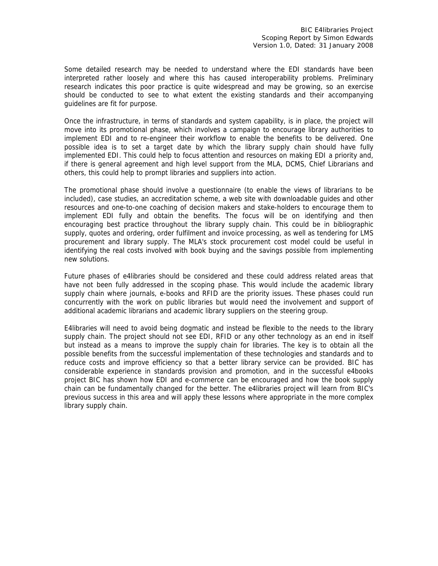Some detailed research may be needed to understand where the EDI standards have been interpreted rather loosely and where this has caused interoperability problems. Preliminary research indicates this poor practice is quite widespread and may be growing, so an exercise should be conducted to see to what extent the existing standards and their accompanying guidelines are fit for purpose.

Once the infrastructure, in terms of standards and system capability, is in place, the project will move into its promotional phase, which involves a campaign to encourage library authorities to implement EDI and to re-engineer their workflow to enable the benefits to be delivered. One possible idea is to set a target date by which the library supply chain should have fully implemented EDI. This could help to focus attention and resources on making EDI a priority and, if there is general agreement and high level support from the MLA, DCMS, Chief Librarians and others, this could help to prompt libraries and suppliers into action.

The promotional phase should involve a questionnaire (to enable the views of librarians to be included), case studies, an accreditation scheme, a web site with downloadable guides and other resources and one-to-one coaching of decision makers and stake-holders to encourage them to implement EDI fully and obtain the benefits. The focus will be on identifying and then encouraging best practice throughout the library supply chain. This could be in bibliographic supply, quotes and ordering, order fulfilment and invoice processing, as well as tendering for LMS procurement and library supply. The MLA's stock procurement cost model could be useful in identifying the real costs involved with book buying and the savings possible from implementing new solutions.

Future phases of e4libraries should be considered and these could address related areas that have not been fully addressed in the scoping phase. This would include the academic library supply chain where journals, e-books and RFID are the priority issues. These phases could run concurrently with the work on public libraries but would need the involvement and support of additional academic librarians and academic library suppliers on the steering group.

E4libraries will need to avoid being dogmatic and instead be flexible to the needs to the library supply chain. The project should not see EDI, RFID or any other technology as an end in itself but instead as a means to improve the supply chain for libraries. The key is to obtain all the possible benefits from the successful implementation of these technologies and standards and to reduce costs and improve efficiency so that a better library service can be provided. BIC has considerable experience in standards provision and promotion, and in the successful e4books project BIC has shown how EDI and e-commerce can be encouraged and how the book supply chain can be fundamentally changed for the better. The e4libraries project will learn from BIC's previous success in this area and will apply these lessons where appropriate in the more complex library supply chain.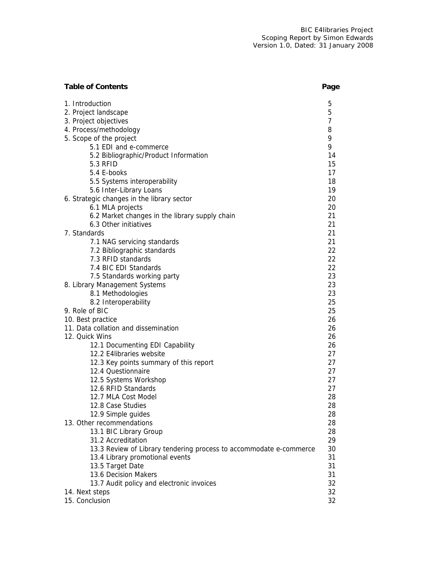| <b>Table of Contents</b>                                           | Page           |
|--------------------------------------------------------------------|----------------|
| 1. Introduction                                                    | 5              |
| 2. Project landscape                                               | 5              |
| 3. Project objectives                                              | $\overline{7}$ |
| 4. Process/methodology                                             | 8              |
| 5. Scope of the project                                            | 9              |
| 5.1 EDI and e-commerce                                             | 9              |
| 5.2 Bibliographic/Product Information                              | 14             |
| <b>5.3 RFID</b>                                                    | 15             |
| 5.4 E-books                                                        | 17             |
| 5.5 Systems interoperability                                       | 18             |
| 5.6 Inter-Library Loans                                            | 19             |
| 6. Strategic changes in the library sector                         | 20             |
| 6.1 MLA projects                                                   | 20             |
| 6.2 Market changes in the library supply chain                     | 21             |
| 6.3 Other initiatives                                              | 21             |
| 7. Standards                                                       | 21             |
| 7.1 NAG servicing standards                                        | 21             |
| 7.2 Bibliographic standards<br>7.3 RFID standards                  | 22<br>22       |
| 7.4 BIC EDI Standards                                              | 22             |
| 7.5 Standards working party                                        | 23             |
| 8. Library Management Systems                                      | 23             |
| 8.1 Methodologies                                                  | 23             |
| 8.2 Interoperability                                               | 25             |
| 9. Role of BIC                                                     | 25             |
| 10. Best practice                                                  | 26             |
| 11. Data collation and dissemination                               | 26             |
| 12. Quick Wins                                                     | 26             |
| 12.1 Documenting EDI Capability                                    | 26             |
| 12.2 E4libraries website                                           | 27             |
| 12.3 Key points summary of this report                             | 27             |
| 12.4 Questionnaire                                                 | 27             |
| 12.5 Systems Workshop                                              | 27             |
| 12.6 RFID Standards                                                | 27             |
| 12.7 MLA Cost Model                                                | 28             |
| 12.8 Case Studies                                                  | 28             |
| 12.9 Simple guides                                                 | 28             |
| 13. Other recommendations                                          | 28             |
| 13.1 BIC Library Group                                             | 28             |
| 31.2 Accreditation                                                 | 29             |
| 13.3 Review of Library tendering process to accommodate e-commerce | 30             |
| 13.4 Library promotional events                                    | 31             |
| 13.5 Target Date                                                   | 31             |
| 13.6 Decision Makers                                               | 31             |
| 13.7 Audit policy and electronic invoices                          | 32             |
| 14. Next steps                                                     | 32             |
| 15. Conclusion                                                     | 32             |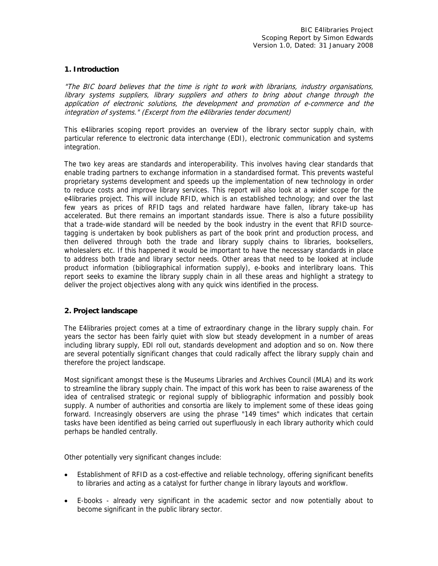# **1. Introduction**

"The BIC board believes that the time is right to work with librarians, industry organisations, library systems suppliers, library suppliers and others to bring about change through the application of electronic solutions, the development and promotion of e-commerce and the integration of systems." (Excerpt from the e4libraries tender document)

This e4libraries scoping report provides an overview of the library sector supply chain, with particular reference to electronic data interchange (EDI), electronic communication and systems integration.

The two key areas are standards and interoperability. This involves having clear standards that enable trading partners to exchange information in a standardised format. This prevents wasteful proprietary systems development and speeds up the implementation of new technology in order to reduce costs and improve library services. This report will also look at a wider scope for the e4libraries project. This will include RFID, which is an established technology; and over the last few years as prices of RFID tags and related hardware have fallen, library take-up has accelerated. But there remains an important standards issue. There is also a future possibility that a trade-wide standard will be needed by the book industry in the event that RFID sourcetagging is undertaken by book publishers as part of the book print and production process, and then delivered through both the trade and library supply chains to libraries, booksellers, wholesalers etc. If this happened it would be important to have the necessary standards in place to address both trade and library sector needs. Other areas that need to be looked at include product information (bibliographical information supply), e-books and interlibrary loans. This report seeks to examine the library supply chain in all these areas and highlight a strategy to deliver the project objectives along with any quick wins identified in the process.

#### **2. Project landscape**

The E4libraries project comes at a time of extraordinary change in the library supply chain. For years the sector has been fairly quiet with slow but steady development in a number of areas including library supply, EDI roll out, standards development and adoption and so on. Now there are several potentially significant changes that could radically affect the library supply chain and therefore the project landscape.

Most significant amongst these is the Museums Libraries and Archives Council (MLA) and its work to streamline the library supply chain. The impact of this work has been to raise awareness of the idea of centralised strategic or regional supply of bibliographic information and possibly book supply. A number of authorities and consortia are likely to implement some of these ideas going forward. Increasingly observers are using the phrase "149 times" which indicates that certain tasks have been identified as being carried out superfluously in each library authority which could perhaps be handled centrally.

Other potentially very significant changes include:

- Establishment of RFID as a cost-effective and reliable technology, offering significant benefits to libraries and acting as a catalyst for further change in library layouts and workflow.
- E-books already very significant in the academic sector and now potentially about to become significant in the public library sector.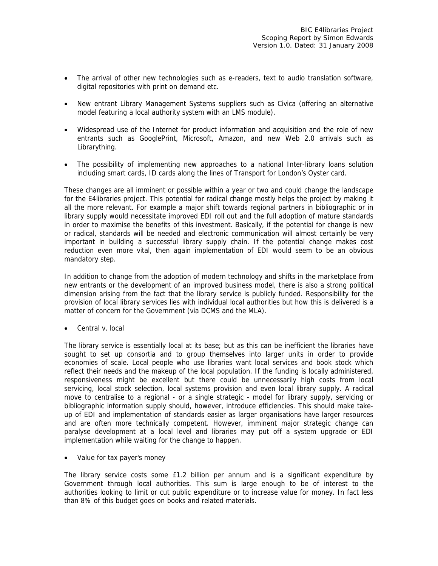- The arrival of other new technologies such as e-readers, text to audio translation software, digital repositories with print on demand etc.
- New entrant Library Management Systems suppliers such as Civica (offering an alternative model featuring a local authority system with an LMS module).
- Widespread use of the Internet for product information and acquisition and the role of new entrants such as GooglePrint, Microsoft, Amazon, and new Web 2.0 arrivals such as Librarything.
- The possibility of implementing new approaches to a national Inter-library loans solution including smart cards, ID cards along the lines of Transport for London's Oyster card.

These changes are all imminent or possible within a year or two and could change the landscape for the E4libraries project. This potential for radical change mostly helps the project by making it all the more relevant. For example a major shift towards regional partners in bibliographic or in library supply would necessitate improved EDI roll out and the full adoption of mature standards in order to maximise the benefits of this investment. Basically, if the potential for change is new or radical, standards will be needed and electronic communication will almost certainly be very important in building a successful library supply chain. If the potential change makes cost reduction even more vital, then again implementation of EDI would seem to be an obvious mandatory step.

In addition to change from the adoption of modern technology and shifts in the marketplace from new entrants or the development of an improved business model, there is also a strong political dimension arising from the fact that the library service is publicly funded. Responsibility for the provision of local library services lies with individual local authorities but how this is delivered is a matter of concern for the Government (via DCMS and the MLA).

• Central v. local

The library service is essentially local at its base; but as this can be inefficient the libraries have sought to set up consortia and to group themselves into larger units in order to provide economies of scale. Local people who use libraries want local services and book stock which reflect their needs and the makeup of the local population. If the funding is locally administered, responsiveness might be excellent but there could be unnecessarily high costs from local servicing, local stock selection, local systems provision and even local library supply. A radical move to centralise to a regional - or a single strategic - model for library supply, servicing or bibliographic information supply should, however, introduce efficiencies. This should make takeup of EDI and implementation of standards easier as larger organisations have larger resources and are often more technically competent. However, imminent major strategic change can paralyse development at a local level and libraries may put off a system upgrade or EDI implementation while waiting for the change to happen.

• Value for tax payer's money

The library service costs some £1.2 billion per annum and is a significant expenditure by Government through local authorities. This sum is large enough to be of interest to the authorities looking to limit or cut public expenditure or to increase value for money. In fact less than 8% of this budget goes on books and related materials.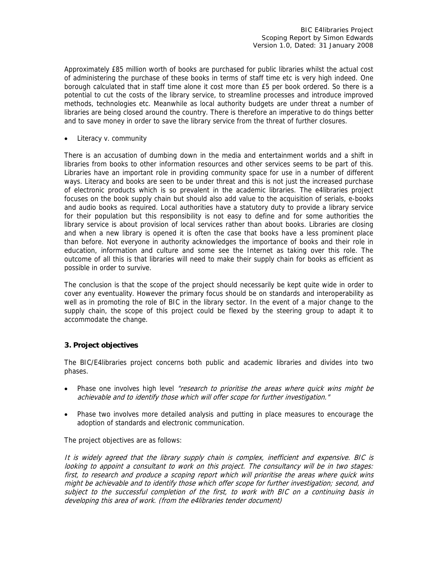Approximately £85 million worth of books are purchased for public libraries whilst the actual cost of administering the purchase of these books in terms of staff time etc is very high indeed. One borough calculated that in staff time alone it cost more than £5 per book ordered. So there is a potential to cut the costs of the library service, to streamline processes and introduce improved methods, technologies etc. Meanwhile as local authority budgets are under threat a number of libraries are being closed around the country. There is therefore an imperative to do things better and to save money in order to save the library service from the threat of further closures.

• Literacy v. community

There is an accusation of dumbing down in the media and entertainment worlds and a shift in libraries from books to other information resources and other services seems to be part of this. Libraries have an important role in providing community space for use in a number of different ways. Literacy and books are seen to be under threat and this is not just the increased purchase of electronic products which is so prevalent in the academic libraries. The e4libraries project focuses on the book supply chain but should also add value to the acquisition of serials, e-books and audio books as required. Local authorities have a statutory duty to provide a library service for their population but this responsibility is not easy to define and for some authorities the library service is about provision of local services rather than about books. Libraries are closing and when a new library is opened it is often the case that books have a less prominent place than before. Not everyone in authority acknowledges the importance of books and their role in education, information and culture and some see the Internet as taking over this role. The outcome of all this is that libraries will need to make their supply chain for books as efficient as possible in order to survive.

The conclusion is that the scope of the project should necessarily be kept quite wide in order to cover any eventuality. However the primary focus should be on standards and interoperability as well as in promoting the role of BIC in the library sector. In the event of a major change to the supply chain, the scope of this project could be flexed by the steering group to adapt it to accommodate the change.

# **3. Project objectives**

The BIC/E4libraries project concerns both public and academic libraries and divides into two phases.

- Phase one involves high level "research to prioritise the areas where quick wins might be achievable and to identify those which will offer scope for further investigation."
- Phase two involves more detailed analysis and putting in place measures to encourage the adoption of standards and electronic communication.

The project objectives are as follows:

It is widely agreed that the library supply chain is complex, inefficient and expensive. BIC is looking to appoint a consultant to work on this project. The consultancy will be in two stages: first, to research and produce a scoping report which will prioritise the areas where quick wins might be achievable and to identify those which offer scope for further investigation; second, and subject to the successful completion of the first, to work with BIC on a continuing basis in developing this area of work. (from the e4libraries tender document)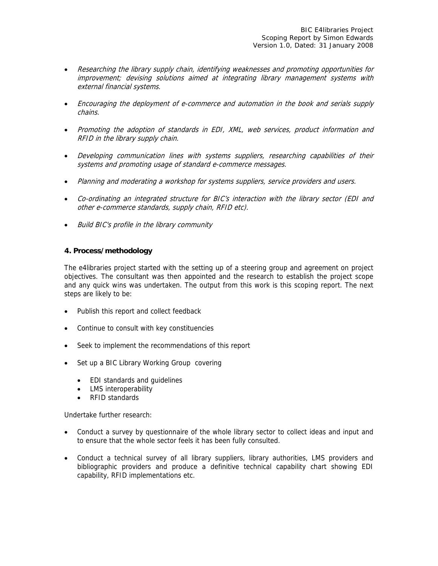- Researching the library supply chain, identifying weaknesses and promoting opportunities for improvement; devising solutions aimed at integrating library management systems with external financial systems.
- Encouraging the deployment of e-commerce and automation in the book and serials supply chains.
- Promoting the adoption of standards in EDI, XML, web services, product information and RFID in the library supply chain.
- Developing communication lines with systems suppliers, researching capabilities of their systems and promoting usage of standard e-commerce messages.
- Planning and moderating a workshop for systems suppliers, service providers and users.
- Co-ordinating an integrated structure for BIC's interaction with the library sector (EDI and other e-commerce standards, supply chain, RFID etc).
- Build BIC's profile in the library community

#### **4. Process/methodology**

The e4libraries project started with the setting up of a steering group and agreement on project objectives. The consultant was then appointed and the research to establish the project scope and any quick wins was undertaken. The output from this work is this scoping report. The next steps are likely to be:

- Publish this report and collect feedback
- Continue to consult with key constituencies
- Seek to implement the recommendations of this report
- Set up a BIC Library Working Group covering
	- EDI standards and guidelines
	- LMS interoperability
	- RFID standards

Undertake further research:

- Conduct a survey by questionnaire of the whole library sector to collect ideas and input and to ensure that the whole sector feels it has been fully consulted.
- Conduct a technical survey of all library suppliers, library authorities, LMS providers and bibliographic providers and produce a definitive technical capability chart showing EDI capability, RFID implementations etc.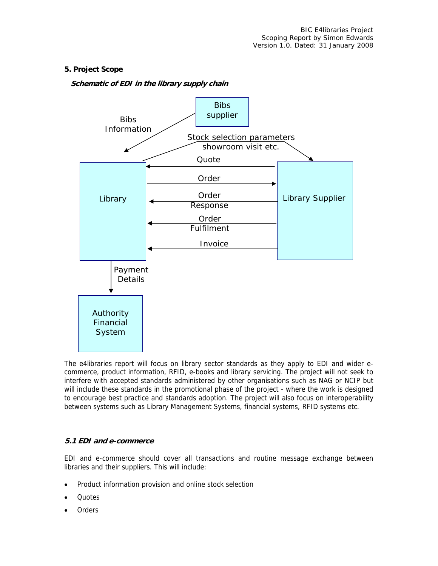# **5. Project Scope**

# **Schematic of EDI in the library supply chain**



The e4libraries report will focus on library sector standards as they apply to EDI and wider ecommerce, product information, RFID, e-books and library servicing. The project will not seek to interfere with accepted standards administered by other organisations such as NAG or NCIP but will include these standards in the promotional phase of the project - where the work is designed to encourage best practice and standards adoption. The project will also focus on interoperability between systems such as Library Management Systems, financial systems, RFID systems etc.

#### **5.1 EDI and e-commerce**

EDI and e-commerce should cover all transactions and routine message exchange between libraries and their suppliers. This will include:

- Product information provision and online stock selection
- Quotes
- Orders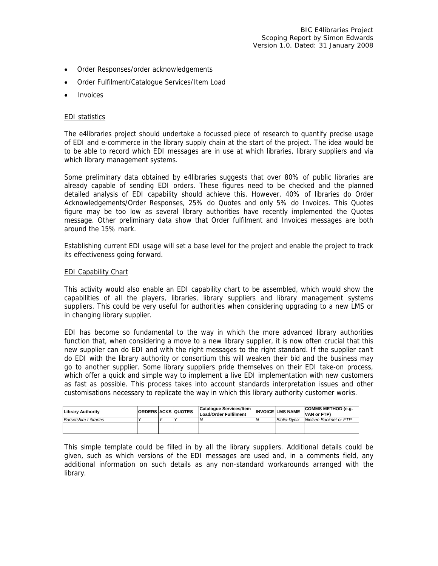- Order Responses/order acknowledgements
- Order Fulfilment/Catalogue Services/Item Load
- **Invoices**

#### EDI statistics

The e4libraries project should undertake a focussed piece of research to quantify precise usage of EDI and e-commerce in the library supply chain at the start of the project. The idea would be to be able to record which EDI messages are in use at which libraries, library suppliers and via which library management systems.

Some preliminary data obtained by e4libraries suggests that over 80% of public libraries are already capable of sending EDI orders. These figures need to be checked and the planned detailed analysis of EDI capability should achieve this. However, 40% of libraries do Order Acknowledgements/Order Responses, 25% do Quotes and only 5% do Invoices. This Quotes figure may be too low as several library authorities have recently implemented the Quotes message. Other preliminary data show that Order fulfilment and Invoices messages are both around the 15% mark.

Establishing current EDI usage will set a base level for the project and enable the project to track its effectiveness going forward.

#### EDI Capability Chart

This activity would also enable an EDI capability chart to be assembled, which would show the capabilities of all the players, libraries, library suppliers and library management systems suppliers. This could be very useful for authorities when considering upgrading to a new LMS or in changing library supplier.

EDI has become so fundamental to the way in which the more advanced library authorities function that, when considering a move to a new library supplier, it is now often crucial that this new supplier can do EDI and with the right messages to the right standard. If the supplier can't do EDI with the library authority or consortium this will weaken their bid and the business may go to another supplier. Some library suppliers pride themselves on their EDI take-on process, which offer a quick and simple way to implement a live EDI implementation with new customers as fast as possible. This process takes into account standards interpretation issues and other customisations necessary to replicate the way in which this library authority customer works.

| Library Authority            |  | <b>ORDERS ACKS QUOTES</b> | Catalogue Services/Item<br><b>Load/Order Fulfilment</b> | <b>INVOICE LMS NAME</b> | <b>ICOMMS METHOD (e.g.</b><br>VAN or FTP) |
|------------------------------|--|---------------------------|---------------------------------------------------------|-------------------------|-------------------------------------------|
| <b>Barsetshire Libraries</b> |  |                           |                                                         | Biblio-Dvnix            | Nielsen Booknet or FTP                    |
|                              |  |                           |                                                         |                         |                                           |
|                              |  |                           |                                                         |                         |                                           |

This simple template could be filled in by all the library suppliers. Additional details could be given, such as which versions of the EDI messages are used and, in a comments field, any additional information on such details as any non-standard workarounds arranged with the library.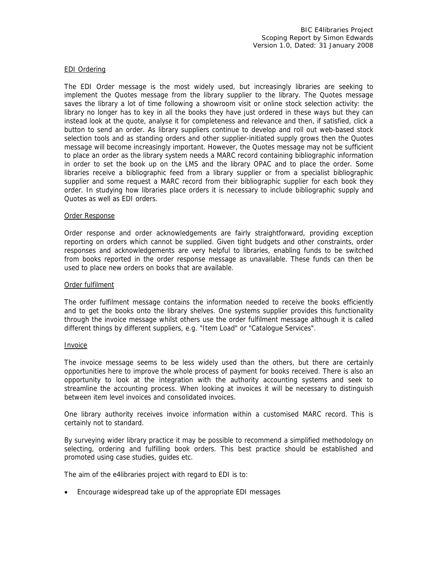#### EDI Ordering

The EDI Order message is the most widely used, but increasingly libraries are seeking to implement the Quotes message from the library supplier to the library. The Quotes message saves the library a lot of time following a showroom visit or online stock selection activity: the library no longer has to key in all the books they have just ordered in these ways but they can instead look at the quote, analyse it for completeness and relevance and then, if satisfied, click a button to send an order. As library suppliers continue to develop and roll out web-based stock selection tools and as standing orders and other supplier-initiated supply grows then the Quotes message will become increasingly important. However, the Quotes message may not be sufficient to place an order as the library system needs a MARC record containing bibliographic information in order to set the book up on the LMS and the library OPAC and to place the order. Some libraries receive a bibliographic feed from a library supplier or from a specialist bibliographic supplier and some request a MARC record from their bibliographic supplier for each book they order. In studying how libraries place orders it is necessary to include bibliographic supply and Quotes as well as EDI orders.

#### Order Response

Order response and order acknowledgements are fairly straightforward, providing exception reporting on orders which cannot be supplied. Given tight budgets and other constraints, order responses and acknowledgements are very helpful to libraries, enabling funds to be switched from books reported in the order response message as unavailable. These funds can then be used to place new orders on books that are available.

#### Order fulfilment

The order fulfilment message contains the information needed to receive the books efficiently and to get the books onto the library shelves. One systems supplier provides this functionality through the invoice message whilst others use the order fulfilment message although it is called different things by different suppliers, e.g. "Item Load" or "Catalogue Services".

#### Invoice

The invoice message seems to be less widely used than the others, but there are certainly opportunities here to improve the whole process of payment for books received. There is also an opportunity to look at the integration with the authority accounting systems and seek to streamline the accounting process. When looking at invoices it will be necessary to distinguish between item level invoices and consolidated invoices.

One library authority receives invoice information within a customised MARC record. This is certainly not to standard.

By surveying wider library practice it may be possible to recommend a simplified methodology on selecting, ordering and fulfilling book orders. This best practice should be established and promoted using case studies, guides etc.

The aim of the e4libraries project with regard to EDI is to:

• Encourage widespread take up of the appropriate EDI messages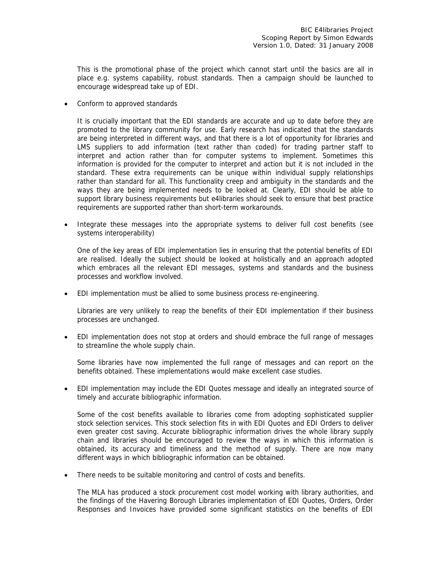This is the promotional phase of the project which cannot start until the basics are all in place e.g. systems capability, robust standards. Then a campaign should be launched to encourage widespread take up of EDI.

• Conform to approved standards

It is crucially important that the EDI standards are accurate and up to date before they are promoted to the library community for use. Early research has indicated that the standards are being interpreted in different ways, and that there is a lot of opportunity for libraries and LMS suppliers to add information (text rather than coded) for trading partner staff to interpret and action rather than for computer systems to implement. Sometimes this information is provided for the computer to interpret and action but it is not included in the standard. These extra requirements can be unique within individual supply relationships rather than standard for all. This functionality creep and ambiguity in the standards and the ways they are being implemented needs to be looked at. Clearly, EDI should be able to support library business requirements but e4libraries should seek to ensure that best practice requirements are supported rather than short-term workarounds.

• Integrate these messages into the appropriate systems to deliver full cost benefits (see systems interoperability)

One of the key areas of EDI implementation lies in ensuring that the potential benefits of EDI are realised. Ideally the subject should be looked at holistically and an approach adopted which embraces all the relevant EDI messages, systems and standards and the business processes and workflow involved.

• EDI implementation must be allied to some business process re-engineering.

Libraries are very unlikely to reap the benefits of their EDI implementation if their business processes are unchanged.

• EDI implementation does not stop at orders and should embrace the full range of messages to streamline the whole supply chain.

Some libraries have now implemented the full range of messages and can report on the benefits obtained. These implementations would make excellent case studies.

• EDI implementation may include the EDI Quotes message and ideally an integrated source of timely and accurate bibliographic information.

Some of the cost benefits available to libraries come from adopting sophisticated supplier stock selection services. This stock selection fits in with EDI Quotes and EDI Orders to deliver even greater cost saving. Accurate bibliographic information drives the whole library supply chain and libraries should be encouraged to review the ways in which this information is obtained, its accuracy and timeliness and the method of supply. There are now many different ways in which bibliographic information can be obtained.

There needs to be suitable monitoring and control of costs and benefits.

The MLA has produced a stock procurement cost model working with library authorities, and the findings of the Havering Borough Libraries implementation of EDI Quotes, Orders, Order Responses and Invoices have provided some significant statistics on the benefits of EDI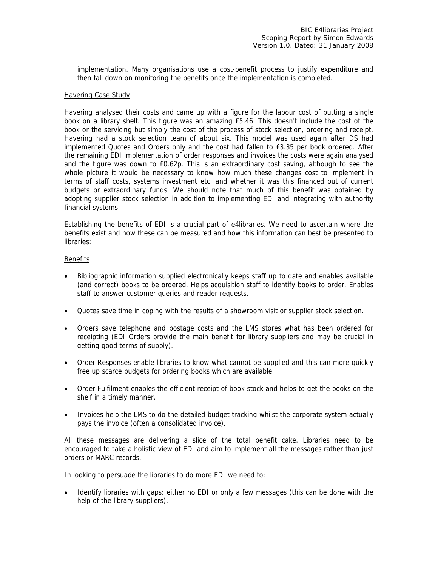implementation. Many organisations use a cost-benefit process to justify expenditure and then fall down on monitoring the benefits once the implementation is completed.

#### Havering Case Study

Havering analysed their costs and came up with a figure for the labour cost of putting a single book on a library shelf. This figure was an amazing £5.46. This doesn't include the cost of the book or the servicing but simply the cost of the process of stock selection, ordering and receipt. Havering had a stock selection team of about six. This model was used again after DS had implemented Quotes and Orders only and the cost had fallen to £3.35 per book ordered. After the remaining EDI implementation of order responses and invoices the costs were again analysed and the figure was down to £0.62p. This is an extraordinary cost saving, although to see the whole picture it would be necessary to know how much these changes cost to implement in terms of staff costs, systems investment etc. and whether it was this financed out of current budgets or extraordinary funds. We should note that much of this benefit was obtained by adopting supplier stock selection in addition to implementing EDI and integrating with authority financial systems.

Establishing the benefits of EDI is a crucial part of e4libraries. We need to ascertain where the benefits exist and how these can be measured and how this information can best be presented to libraries:

#### Benefits

- Bibliographic information supplied electronically keeps staff up to date and enables available (and correct) books to be ordered. Helps acquisition staff to identify books to order. Enables staff to answer customer queries and reader requests.
- Quotes save time in coping with the results of a showroom visit or supplier stock selection.
- Orders save telephone and postage costs and the LMS stores what has been ordered for receipting (EDI Orders provide the main benefit for library suppliers and may be crucial in getting good terms of supply).
- Order Responses enable libraries to know what cannot be supplied and this can more quickly free up scarce budgets for ordering books which are available.
- Order Fulfilment enables the efficient receipt of book stock and helps to get the books on the shelf in a timely manner.
- Invoices help the LMS to do the detailed budget tracking whilst the corporate system actually pays the invoice (often a consolidated invoice).

All these messages are delivering a slice of the total benefit cake. Libraries need to be encouraged to take a holistic view of EDI and aim to implement all the messages rather than just orders or MARC records.

In looking to persuade the libraries to do more EDI we need to:

• Identify libraries with gaps: either no EDI or only a few messages (this can be done with the help of the library suppliers).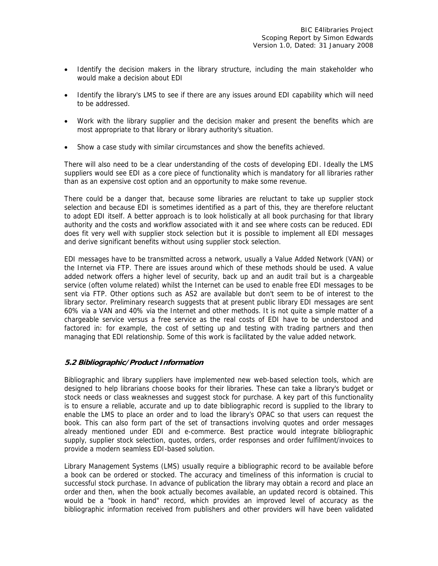- Identify the decision makers in the library structure, including the main stakeholder who would make a decision about EDI
- Identify the library's LMS to see if there are any issues around EDI capability which will need to be addressed.
- Work with the library supplier and the decision maker and present the benefits which are most appropriate to that library or library authority's situation.
- Show a case study with similar circumstances and show the benefits achieved.

There will also need to be a clear understanding of the costs of developing EDI. Ideally the LMS suppliers would see EDI as a core piece of functionality which is mandatory for all libraries rather than as an expensive cost option and an opportunity to make some revenue.

There could be a danger that, because some libraries are reluctant to take up supplier stock selection and because EDI is sometimes identified as a part of this, they are therefore reluctant to adopt EDI itself. A better approach is to look holistically at all book purchasing for that library authority and the costs and workflow associated with it and see where costs can be reduced. EDI does fit very well with supplier stock selection but it is possible to implement all EDI messages and derive significant benefits without using supplier stock selection.

EDI messages have to be transmitted across a network, usually a Value Added Network (VAN) or the Internet via FTP. There are issues around which of these methods should be used. A value added network offers a higher level of security, back up and an audit trail but is a chargeable service (often volume related) whilst the Internet can be used to enable free EDI messages to be sent via FTP. Other options such as AS2 are available but don't seem to be of interest to the library sector. Preliminary research suggests that at present public library EDI messages are sent 60% via a VAN and 40% via the Internet and other methods. It is not quite a simple matter of a chargeable service versus a free service as the real costs of EDI have to be understood and factored in: for example, the cost of setting up and testing with trading partners and then managing that EDI relationship. Some of this work is facilitated by the value added network.

# **5.2 Bibliographic/Product Information**

Bibliographic and library suppliers have implemented new web-based selection tools, which are designed to help librarians choose books for their libraries. These can take a library's budget or stock needs or class weaknesses and suggest stock for purchase. A key part of this functionality is to ensure a reliable, accurate and up to date bibliographic record is supplied to the library to enable the LMS to place an order and to load the library's OPAC so that users can request the book. This can also form part of the set of transactions involving quotes and order messages already mentioned under EDI and e-commerce. Best practice would integrate bibliographic supply, supplier stock selection, quotes, orders, order responses and order fulfilment/invoices to provide a modern seamless EDI-based solution.

Library Management Systems (LMS) usually require a bibliographic record to be available before a book can be ordered or stocked. The accuracy and timeliness of this information is crucial to successful stock purchase. In advance of publication the library may obtain a record and place an order and then, when the book actually becomes available, an updated record is obtained. This would be a "book in hand" record, which provides an improved level of accuracy as the bibliographic information received from publishers and other providers will have been validated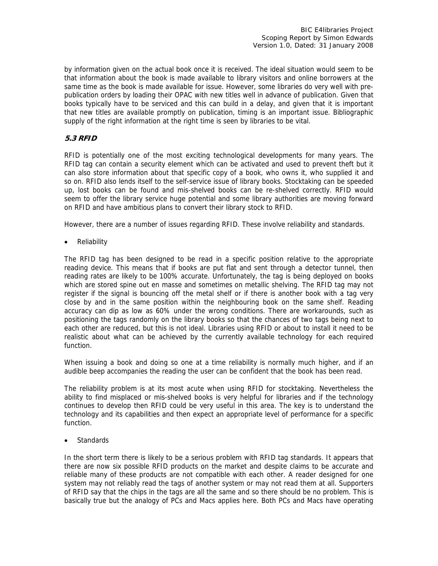by information given on the actual book once it is received. The ideal situation would seem to be that information about the book is made available to library visitors and online borrowers at the same time as the book is made available for issue. However, some libraries do very well with prepublication orders by loading their OPAC with new titles well in advance of publication. Given that books typically have to be serviced and this can build in a delay, and given that it is important that new titles are available promptly on publication, timing is an important issue. Bibliographic supply of the right information at the right time is seen by libraries to be vital.

# **5.3 RFID**

RFID is potentially one of the most exciting technological developments for many years. The RFID tag can contain a security element which can be activated and used to prevent theft but it can also store information about that specific copy of a book, who owns it, who supplied it and so on. RFID also lends itself to the self-service issue of library books. Stocktaking can be speeded up, lost books can be found and mis-shelved books can be re-shelved correctly. RFID would seem to offer the library service huge potential and some library authorities are moving forward on RFID and have ambitious plans to convert their library stock to RFID.

However, there are a number of issues regarding RFID. These involve reliability and standards.

• Reliability

The RFID tag has been designed to be read in a specific position relative to the appropriate reading device. This means that if books are put flat and sent through a detector tunnel, then reading rates are likely to be 100% accurate. Unfortunately, the tag is being deployed on books which are stored spine out en masse and sometimes on metallic shelving. The RFID tag may not register if the signal is bouncing off the metal shelf or if there is another book with a tag very close by and in the same position within the neighbouring book on the same shelf. Reading accuracy can dip as low as 60% under the wrong conditions. There are workarounds, such as positioning the tags randomly on the library books so that the chances of two tags being next to each other are reduced, but this is not ideal. Libraries using RFID or about to install it need to be realistic about what can be achieved by the currently available technology for each required function.

When issuing a book and doing so one at a time reliability is normally much higher, and if an audible beep accompanies the reading the user can be confident that the book has been read.

The reliability problem is at its most acute when using RFID for stocktaking. Nevertheless the ability to find misplaced or mis-shelved books is very helpful for libraries and if the technology continues to develop then RFID could be very useful in this area. The key is to understand the technology and its capabilities and then expect an appropriate level of performance for a specific function.

**Standards** 

In the short term there is likely to be a serious problem with RFID tag standards. It appears that there are now six possible RFID products on the market and despite claims to be accurate and reliable many of these products are not compatible with each other. A reader designed for one system may not reliably read the tags of another system or may not read them at all. Supporters of RFID say that the chips in the tags are all the same and so there should be no problem. This is basically true but the analogy of PCs and Macs applies here. Both PCs and Macs have operating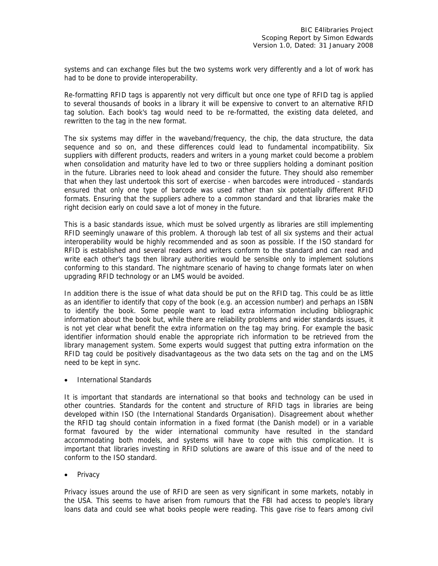systems and can exchange files but the two systems work very differently and a lot of work has had to be done to provide interoperability.

Re-formatting RFID tags is apparently not very difficult but once one type of RFID tag is applied to several thousands of books in a library it will be expensive to convert to an alternative RFID tag solution. Each book's tag would need to be re-formatted, the existing data deleted, and rewritten to the tag in the new format.

The six systems may differ in the waveband/frequency, the chip, the data structure, the data sequence and so on, and these differences could lead to fundamental incompatibility. Six suppliers with different products, readers and writers in a young market could become a problem when consolidation and maturity have led to two or three suppliers holding a dominant position in the future. Libraries need to look ahead and consider the future. They should also remember that when they last undertook this sort of exercise - when barcodes were introduced - standards ensured that only one type of barcode was used rather than six potentially different RFID formats. Ensuring that the suppliers adhere to a common standard and that libraries make the right decision early on could save a lot of money in the future.

This is a basic standards issue, which must be solved urgently as libraries are still implementing RFID seemingly unaware of this problem. A thorough lab test of all six systems and their actual interoperability would be highly recommended and as soon as possible. If the ISO standard for RFID is established and several readers and writers conform to the standard and can read and write each other's tags then library authorities would be sensible only to implement solutions conforming to this standard. The nightmare scenario of having to change formats later on when upgrading RFID technology or an LMS would be avoided.

In addition there is the issue of what data should be put on the RFID tag. This could be as little as an identifier to identify that copy of the book (e.g. an accession number) and perhaps an ISBN to identify the book. Some people want to load extra information including bibliographic information about the book but, while there are reliability problems and wider standards issues, it is not yet clear what benefit the extra information on the tag may bring. For example the basic identifier information should enable the appropriate rich information to be retrieved from the library management system. Some experts would suggest that putting extra information on the RFID tag could be positively disadvantageous as the two data sets on the tag and on the LMS need to be kept in sync.

• International Standards

It is important that standards are international so that books and technology can be used in other countries. Standards for the content and structure of RFID tags in libraries are being developed within ISO (the International Standards Organisation). Disagreement about whether the RFID tag should contain information in a fixed format (the Danish model) or in a variable format favoured by the wider international community have resulted in the standard accommodating both models, and systems will have to cope with this complication. It is important that libraries investing in RFID solutions are aware of this issue and of the need to conform to the ISO standard.

• Privacy

Privacy issues around the use of RFID are seen as very significant in some markets, notably in the USA. This seems to have arisen from rumours that the FBI had access to people's library loans data and could see what books people were reading. This gave rise to fears among civil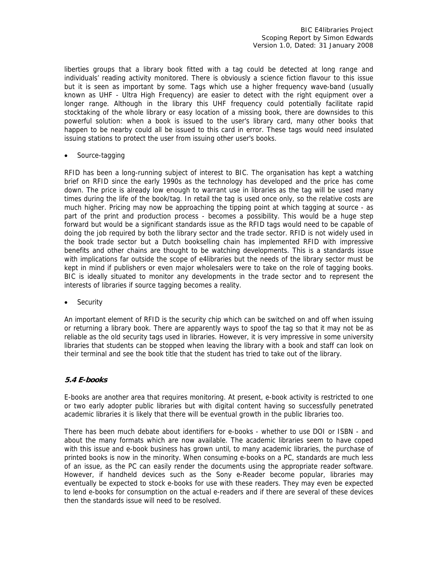liberties groups that a library book fitted with a tag could be detected at long range and individuals' reading activity monitored. There is obviously a science fiction flavour to this issue but it is seen as important by some. Tags which use a higher frequency wave-band (usually known as UHF - Ultra High Frequency) are easier to detect with the right equipment over a longer range. Although in the library this UHF frequency could potentially facilitate rapid stocktaking of the whole library or easy location of a missing book, there are downsides to this powerful solution: when a book is issued to the user's library card, many other books that happen to be nearby could all be issued to this card in error. These tags would need insulated issuing stations to protect the user from issuing other user's books.

• Source-tagging

RFID has been a long-running subject of interest to BIC. The organisation has kept a watching brief on RFID since the early 1990s as the technology has developed and the price has come down. The price is already low enough to warrant use in libraries as the tag will be used many times during the life of the book/tag. In retail the tag is used once only, so the relative costs are much higher. Pricing may now be approaching the tipping point at which tagging at source - as part of the print and production process - becomes a possibility. This would be a huge step forward but would be a significant standards issue as the RFID tags would need to be capable of doing the job required by both the library sector and the trade sector. RFID is not widely used in the book trade sector but a Dutch bookselling chain has implemented RFID with impressive benefits and other chains are thought to be watching developments. This is a standards issue with implications far outside the scope of e4libraries but the needs of the library sector must be kept in mind if publishers or even major wholesalers were to take on the role of tagging books. BIC is ideally situated to monitor any developments in the trade sector and to represent the interests of libraries if source tagging becomes a reality.

**Security** 

An important element of RFID is the security chip which can be switched on and off when issuing or returning a library book. There are apparently ways to spoof the tag so that it may not be as reliable as the old security tags used in libraries. However, it is very impressive in some university libraries that students can be stopped when leaving the library with a book and staff can look on their terminal and see the book title that the student has tried to take out of the library.

# **5.4 E-books**

E-books are another area that requires monitoring. At present, e-book activity is restricted to one or two early adopter public libraries but with digital content having so successfully penetrated academic libraries it is likely that there will be eventual growth in the public libraries too.

There has been much debate about identifiers for e-books - whether to use DOI or ISBN - and about the many formats which are now available. The academic libraries seem to have coped with this issue and e-book business has grown until, to many academic libraries, the purchase of printed books is now in the minority. When consuming e-books on a PC, standards are much less of an issue, as the PC can easily render the documents using the appropriate reader software. However, if handheld devices such as the Sony e-Reader become popular, libraries may eventually be expected to stock e-books for use with these readers. They may even be expected to lend e-books for consumption on the actual e-readers and if there are several of these devices then the standards issue will need to be resolved.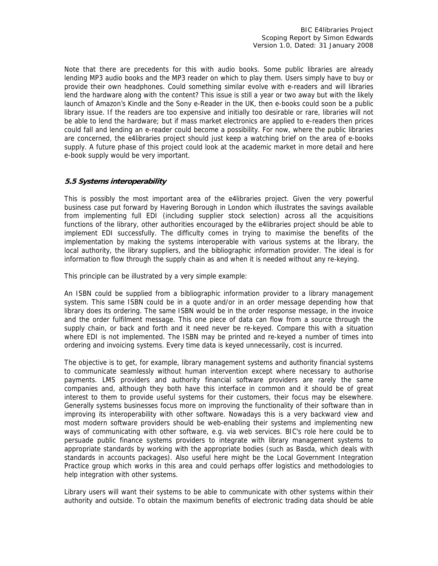Note that there are precedents for this with audio books. Some public libraries are already lending MP3 audio books and the MP3 reader on which to play them. Users simply have to buy or provide their own headphones. Could something similar evolve with e-readers and will libraries lend the hardware along with the content? This issue is still a year or two away but with the likely launch of Amazon's Kindle and the Sony e-Reader in the UK, then e-books could soon be a public library issue. If the readers are too expensive and initially too desirable or rare, libraries will not be able to lend the hardware; but if mass market electronics are applied to e-readers then prices could fall and lending an e-reader could become a possibility. For now, where the public libraries are concerned, the e4libraries project should just keep a watching brief on the area of e-books supply. A future phase of this project could look at the academic market in more detail and here e-book supply would be very important.

# **5.5 Systems interoperability**

This is possibly the most important area of the e4libraries project. Given the very powerful business case put forward by Havering Borough in London which illustrates the savings available from implementing full EDI (including supplier stock selection) across all the acquisitions functions of the library, other authorities encouraged by the e4libraries project should be able to implement EDI successfully. The difficulty comes in trying to maximise the benefits of the implementation by making the systems interoperable with various systems at the library, the local authority, the library suppliers, and the bibliographic information provider. The ideal is for information to flow through the supply chain as and when it is needed without any re-keying.

This principle can be illustrated by a very simple example:

An ISBN could be supplied from a bibliographic information provider to a library management system. This same ISBN could be in a quote and/or in an order message depending how that library does its ordering. The same ISBN would be in the order response message, in the invoice and the order fulfilment message. This one piece of data can flow from a source through the supply chain, or back and forth and it need never be re-keyed. Compare this with a situation where EDI is not implemented. The ISBN may be printed and re-keyed a number of times into ordering and invoicing systems. Every time data is keyed unnecessarily, cost is incurred.

The objective is to get, for example, library management systems and authority financial systems to communicate seamlessly without human intervention except where necessary to authorise payments. LMS providers and authority financial software providers are rarely the same companies and, although they both have this interface in common and it should be of great interest to them to provide useful systems for their customers, their focus may be elsewhere. Generally systems businesses focus more on improving the functionality of their software than in improving its interoperability with other software. Nowadays this is a very backward view and most modern software providers should be web-enabling their systems and implementing new ways of communicating with other software, e.g. via web services. BIC's role here could be to persuade public finance systems providers to integrate with library management systems to appropriate standards by working with the appropriate bodies (such as Basda, which deals with standards in accounts packages). Also useful here might be the Local Government Integration Practice group which works in this area and could perhaps offer logistics and methodologies to help integration with other systems.

Library users will want their systems to be able to communicate with other systems within their authority and outside. To obtain the maximum benefits of electronic trading data should be able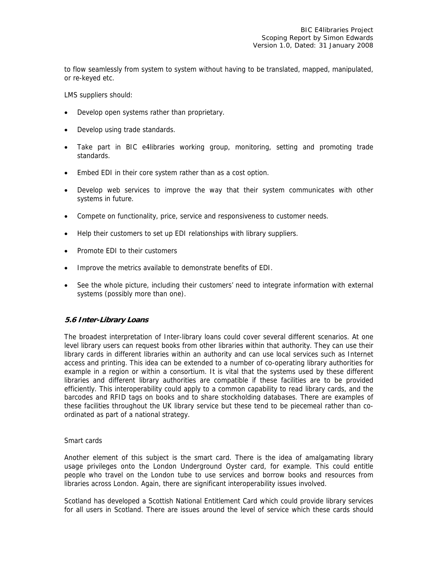to flow seamlessly from system to system without having to be translated, mapped, manipulated, or re-keyed etc.

LMS suppliers should:

- Develop open systems rather than proprietary.
- Develop using trade standards.
- Take part in BIC e4libraries working group, monitoring, setting and promoting trade standards.
- Embed EDI in their core system rather than as a cost option.
- Develop web services to improve the way that their system communicates with other systems in future.
- Compete on functionality, price, service and responsiveness to customer needs.
- Help their customers to set up EDI relationships with library suppliers.
- Promote EDI to their customers
- Improve the metrics available to demonstrate benefits of EDI.
- See the whole picture, including their customers' need to integrate information with external systems (possibly more than one).

#### **5.6 Inter-Library Loans**

The broadest interpretation of Inter-library loans could cover several different scenarios. At one level library users can request books from other libraries within that authority. They can use their library cards in different libraries within an authority and can use local services such as Internet access and printing. This idea can be extended to a number of co-operating library authorities for example in a region or within a consortium. It is vital that the systems used by these different libraries and different library authorities are compatible if these facilities are to be provided efficiently. This interoperability could apply to a common capability to read library cards, and the barcodes and RFID tags on books and to share stockholding databases. There are examples of these facilities throughout the UK library service but these tend to be piecemeal rather than coordinated as part of a national strategy.

#### Smart cards

Another element of this subject is the smart card. There is the idea of amalgamating library usage privileges onto the London Underground Oyster card, for example. This could entitle people who travel on the London tube to use services and borrow books and resources from libraries across London. Again, there are significant interoperability issues involved.

Scotland has developed a Scottish National Entitlement Card which could provide library services for all users in Scotland. There are issues around the level of service which these cards should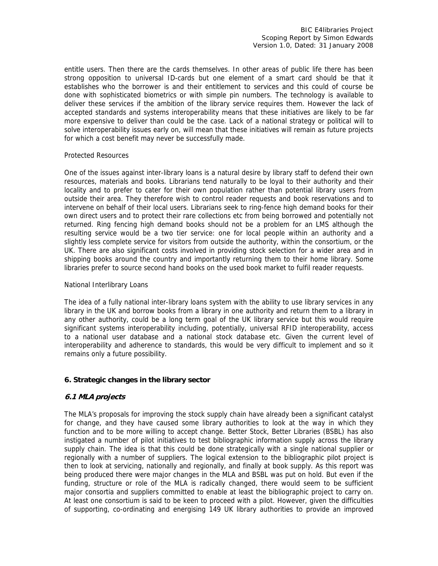entitle users. Then there are the cards themselves. In other areas of public life there has been strong opposition to universal ID-cards but one element of a smart card should be that it establishes who the borrower is and their entitlement to services and this could of course be done with sophisticated biometrics or with simple pin numbers. The technology is available to deliver these services if the ambition of the library service requires them. However the lack of accepted standards and systems interoperability means that these initiatives are likely to be far more expensive to deliver than could be the case. Lack of a national strategy or political will to solve interoperability issues early on, will mean that these initiatives will remain as future projects for which a cost benefit may never be successfully made.

#### Protected Resources

One of the issues against inter-library loans is a natural desire by library staff to defend their own resources, materials and books. Librarians tend naturally to be loyal to their authority and their locality and to prefer to cater for their own population rather than potential library users from outside their area. They therefore wish to control reader requests and book reservations and to intervene on behalf of their local users. Librarians seek to ring-fence high demand books for their own direct users and to protect their rare collections etc from being borrowed and potentially not returned. Ring fencing high demand books should not be a problem for an LMS although the resulting service would be a two tier service: one for local people within an authority and a slightly less complete service for visitors from outside the authority, within the consortium, or the UK. There are also significant costs involved in providing stock selection for a wider area and in shipping books around the country and importantly returning them to their home library. Some libraries prefer to source second hand books on the used book market to fulfil reader requests.

#### National Interlibrary Loans

The idea of a fully national inter-library loans system with the ability to use library services in any library in the UK and borrow books from a library in one authority and return them to a library in any other authority, could be a long term goal of the UK library service but this would require significant systems interoperability including, potentially, universal RFID interoperability, access to a national user database and a national stock database etc. Given the current level of interoperability and adherence to standards, this would be very difficult to implement and so it remains only a future possibility.

# **6. Strategic changes in the library sector**

# **6.1 MLA projects**

The MLA's proposals for improving the stock supply chain have already been a significant catalyst for change, and they have caused some library authorities to look at the way in which they function and to be more willing to accept change. Better Stock, Better Libraries (BSBL) has also instigated a number of pilot initiatives to test bibliographic information supply across the library supply chain. The idea is that this could be done strategically with a single national supplier or regionally with a number of suppliers. The logical extension to the bibliographic pilot project is then to look at servicing, nationally and regionally, and finally at book supply. As this report was being produced there were major changes in the MLA and BSBL was put on hold. But even if the funding, structure or role of the MLA is radically changed, there would seem to be sufficient major consortia and suppliers committed to enable at least the bibliographic project to carry on. At least one consortium is said to be keen to proceed with a pilot. However, given the difficulties of supporting, co-ordinating and energising 149 UK library authorities to provide an improved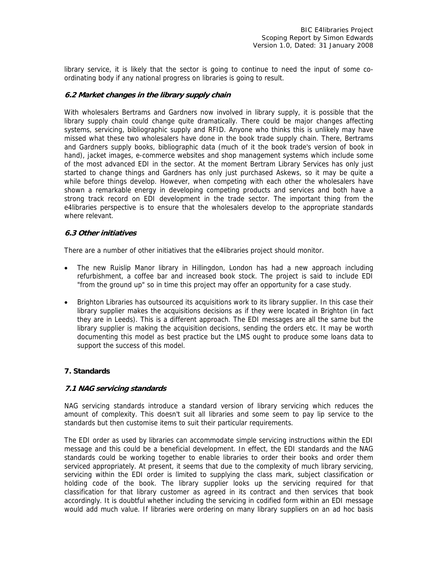library service, it is likely that the sector is going to continue to need the input of some coordinating body if any national progress on libraries is going to result.

#### **6.2 Market changes in the library supply chain**

With wholesalers Bertrams and Gardners now involved in library supply, it is possible that the library supply chain could change quite dramatically. There could be major changes affecting systems, servicing, bibliographic supply and RFID. Anyone who thinks this is unlikely may have missed what these two wholesalers have done in the book trade supply chain. There, Bertrams and Gardners supply books, bibliographic data (much of it the book trade's version of book in hand), jacket images, e-commerce websites and shop management systems which include some of the most advanced EDI in the sector. At the moment Bertram Library Services has only just started to change things and Gardners has only just purchased Askews, so it may be quite a while before things develop. However, when competing with each other the wholesalers have shown a remarkable energy in developing competing products and services and both have a strong track record on EDI development in the trade sector. The important thing from the e4libraries perspective is to ensure that the wholesalers develop to the appropriate standards where relevant.

#### **6.3 Other initiatives**

There are a number of other initiatives that the e4libraries project should monitor.

- The new Ruislip Manor library in Hillingdon, London has had a new approach including refurbishment, a coffee bar and increased book stock. The project is said to include EDI "from the ground up" so in time this project may offer an opportunity for a case study.
- Brighton Libraries has outsourced its acquisitions work to its library supplier. In this case their library supplier makes the acquisitions decisions as if they were located in Brighton (in fact they are in Leeds). This is a different approach. The EDI messages are all the same but the library supplier is making the acquisition decisions, sending the orders etc. It may be worth documenting this model as best practice but the LMS ought to produce some loans data to support the success of this model.

# **7. Standards**

# **7.1 NAG servicing standards**

NAG servicing standards introduce a standard version of library servicing which reduces the amount of complexity. This doesn't suit all libraries and some seem to pay lip service to the standards but then customise items to suit their particular requirements.

The EDI order as used by libraries can accommodate simple servicing instructions within the EDI message and this could be a beneficial development. In effect, the EDI standards and the NAG standards could be working together to enable libraries to order their books and order them serviced appropriately. At present, it seems that due to the complexity of much library servicing, servicing within the EDI order is limited to supplying the class mark, subject classification or holding code of the book. The library supplier looks up the servicing required for that classification for that library customer as agreed in its contract and then services that book accordingly. It is doubtful whether including the servicing in codified form within an EDI message would add much value. If libraries were ordering on many library suppliers on an ad hoc basis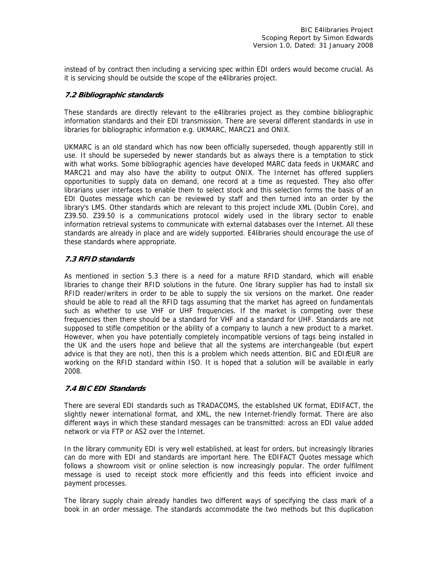instead of by contract then including a servicing spec within EDI orders would become crucial. As it is servicing should be outside the scope of the e4libraries project.

# **7.2 Bibliographic standards**

These standards are directly relevant to the e4libraries project as they combine bibliographic information standards and their EDI transmission. There are several different standards in use in libraries for bibliographic information e.g. UKMARC, MARC21 and ONIX.

UKMARC is an old standard which has now been officially superseded, though apparently still in use. It should be superseded by newer standards but as always there is a temptation to stick with what works. Some bibliographic agencies have developed MARC data feeds in UKMARC and MARC21 and may also have the ability to output ONIX. The Internet has offered suppliers opportunities to supply data on demand, one record at a time as requested. They also offer librarians user interfaces to enable them to select stock and this selection forms the basis of an EDI Quotes message which can be reviewed by staff and then turned into an order by the library's LMS. Other standards which are relevant to this project include XML (Dublin Core), and Z39.50. Z39.50 is a communications protocol widely used in the library sector to enable information retrieval systems to communicate with external databases over the Internet. All these standards are already in place and are widely supported. E4libraries should encourage the use of these standards where appropriate.

# **7.3 RFID standards**

As mentioned in section 5.3 there is a need for a mature RFID standard, which will enable libraries to change their RFID solutions in the future. One library supplier has had to install six RFID reader/writers in order to be able to supply the six versions on the market. One reader should be able to read all the RFID tags assuming that the market has agreed on fundamentals such as whether to use VHF or UHF frequencies. If the market is competing over these frequencies then there should be a standard for VHF and a standard for UHF. Standards are not supposed to stifle competition or the ability of a company to launch a new product to a market. However, when you have potentially completely incompatible versions of tags being installed in the UK and the users hope and believe that all the systems are interchangeable (but expert advice is that they are not), then this is a problem which needs attention. BIC and EDI /EUR are working on the RFID standard within ISO. It is hoped that a solution will be available in early 2008.

# **7.4 BIC EDI Standards**

There are several EDI standards such as TRADACOMS, the established UK format, EDIFACT, the slightly newer international format, and XML, the new Internet-friendly format. There are also different ways in which these standard messages can be transmitted: across an EDI value added network or via FTP or AS2 over the Internet.

In the library community EDI is very well established, at least for orders, but increasingly libraries can do more with EDI and standards are important here. The EDIFACT Quotes message which follows a showroom visit or online selection is now increasingly popular. The order fulfilment message is used to receipt stock more efficiently and this feeds into efficient invoice and payment processes.

The library supply chain already handles two different ways of specifying the class mark of a book in an order message. The standards accommodate the two methods but this duplication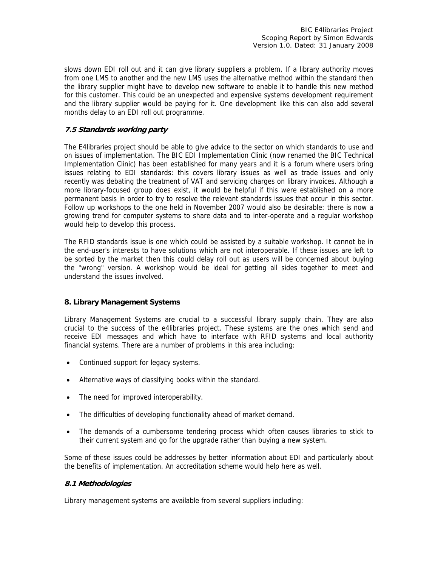slows down EDI roll out and it can give library suppliers a problem. If a library authority moves from one LMS to another and the new LMS uses the alternative method within the standard then the library supplier might have to develop new software to enable it to handle this new method for this customer. This could be an unexpected and expensive systems development requirement and the library supplier would be paying for it. One development like this can also add several months delay to an EDI roll out programme.

# **7.5 Standards working party**

The E4libraries project should be able to give advice to the sector on which standards to use and on issues of implementation. The BIC EDI Implementation Clinic (now renamed the BIC Technical Implementation Clinic) has been established for many years and it is a forum where users bring issues relating to EDI standards: this covers library issues as well as trade issues and only recently was debating the treatment of VAT and servicing charges on library invoices. Although a more library-focused group does exist, it would be helpful if this were established on a more permanent basis in order to try to resolve the relevant standards issues that occur in this sector. Follow up workshops to the one held in November 2007 would also be desirable: there is now a growing trend for computer systems to share data and to inter-operate and a regular workshop would help to develop this process.

The RFID standards issue is one which could be assisted by a suitable workshop. It cannot be in the end-user's interests to have solutions which are not interoperable. If these issues are left to be sorted by the market then this could delay roll out as users will be concerned about buying the "wrong" version. A workshop would be ideal for getting all sides together to meet and understand the issues involved.

# **8. Library Management Systems**

Library Management Systems are crucial to a successful library supply chain. They are also crucial to the success of the e4libraries project. These systems are the ones which send and receive EDI messages and which have to interface with RFID systems and local authority financial systems. There are a number of problems in this area including:

- Continued support for legacy systems.
- Alternative ways of classifying books within the standard.
- The need for improved interoperability.
- The difficulties of developing functionality ahead of market demand.
- The demands of a cumbersome tendering process which often causes libraries to stick to their current system and go for the upgrade rather than buying a new system.

Some of these issues could be addresses by better information about EDI and particularly about the benefits of implementation. An accreditation scheme would help here as well.

# **8.1 Methodologies**

Library management systems are available from several suppliers including: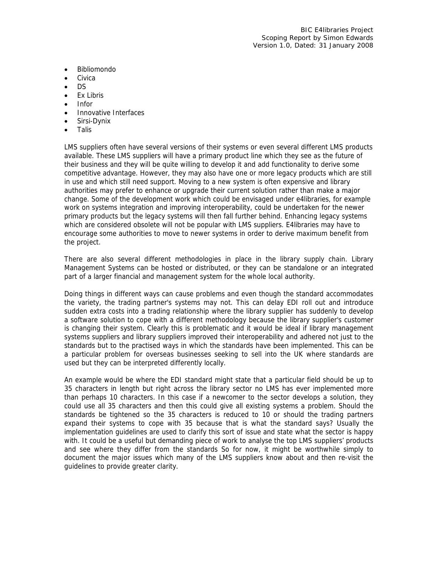- Bibliomondo
- **Civica**
- DS
- Ex Libris
- Infor
- Innovative Interfaces
- Sirsi-Dynix
- Talis

LMS suppliers often have several versions of their systems or even several different LMS products available. These LMS suppliers will have a primary product line which they see as the future of their business and they will be quite willing to develop it and add functionality to derive some competitive advantage. However, they may also have one or more legacy products which are still in use and which still need support. Moving to a new system is often expensive and library authorities may prefer to enhance or upgrade their current solution rather than make a major change. Some of the development work which could be envisaged under e4libraries, for example work on systems integration and improving interoperability, could be undertaken for the newer primary products but the legacy systems will then fall further behind. Enhancing legacy systems which are considered obsolete will not be popular with LMS suppliers. E4libraries may have to encourage some authorities to move to newer systems in order to derive maximum benefit from the project.

There are also several different methodologies in place in the library supply chain. Library Management Systems can be hosted or distributed, or they can be standalone or an integrated part of a larger financial and management system for the whole local authority.

Doing things in different ways can cause problems and even though the standard accommodates the variety, the trading partner's systems may not. This can delay EDI roll out and introduce sudden extra costs into a trading relationship where the library supplier has suddenly to develop a software solution to cope with a different methodology because the library supplier's customer is changing their system. Clearly this is problematic and it would be ideal if library management systems suppliers and library suppliers improved their interoperability and adhered not just to the standards but to the practised ways in which the standards have been implemented. This can be a particular problem for overseas businesses seeking to sell into the UK where standards are used but they can be interpreted differently locally.

An example would be where the EDI standard might state that a particular field should be up to 35 characters in length but right across the library sector no LMS has ever implemented more than perhaps 10 characters. In this case if a newcomer to the sector develops a solution, they could use all 35 characters and then this could give all existing systems a problem. Should the standards be tightened so the 35 characters is reduced to 10 or should the trading partners expand their systems to cope with 35 because that is what the standard says? Usually the implementation guidelines are used to clarify this sort of issue and state what the sector is happy with. It could be a useful but demanding piece of work to analyse the top LMS suppliers' products and see where they differ from the standards So for now, it might be worthwhile simply to document the major issues which many of the LMS suppliers know about and then re-visit the guidelines to provide greater clarity.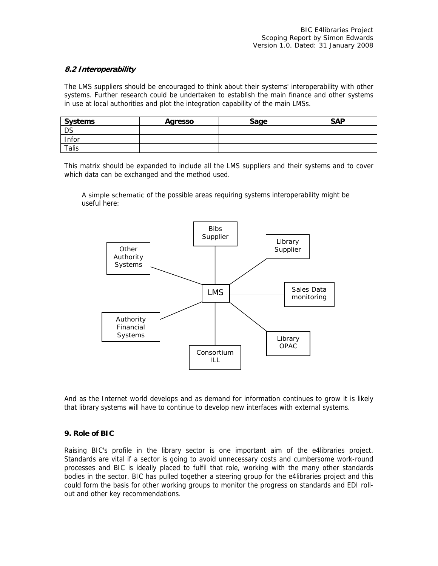# **8.2 Interoperability**

The LMS suppliers should be encouraged to think about their systems' interoperability with other systems. Further research could be undertaken to establish the main finance and other systems in use at local authorities and plot the integration capability of the main LMSs.

| <b>Systems</b> | Agresso | Sage | <b>SAP</b> |
|----------------|---------|------|------------|
| <b>DS</b>      |         |      |            |
| Infor          |         |      |            |
| <b>Talis</b>   |         |      |            |

This matrix should be expanded to include all the LMS suppliers and their systems and to cover which data can be exchanged and the method used.

A simple schematic of the possible areas requiring systems interoperability might be useful here:



And as the Internet world develops and as demand for information continues to grow it is likely that library systems will have to continue to develop new interfaces with external systems.

#### **9. Role of BIC**

Raising BIC's profile in the library sector is one important aim of the e4libraries project. Standards are vital if a sector is going to avoid unnecessary costs and cumbersome work-round processes and BIC is ideally placed to fulfil that role, working with the many other standards bodies in the sector. BIC has pulled together a steering group for the e4libraries project and this could form the basis for other working groups to monitor the progress on standards and EDI rollout and other key recommendations.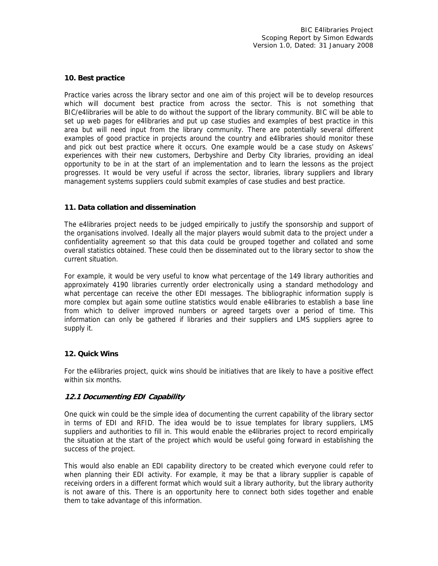#### **10. Best practice**

Practice varies across the library sector and one aim of this project will be to develop resources which will document best practice from across the sector. This is not something that BIC/e4libraries will be able to do without the support of the library community. BIC will be able to set up web pages for e4libraries and put up case studies and examples of best practice in this area but will need input from the library community. There are potentially several different examples of good practice in projects around the country and e4libraries should monitor these and pick out best practice where it occurs. One example would be a case study on Askews' experiences with their new customers, Derbyshire and Derby City libraries, providing an ideal opportunity to be in at the start of an implementation and to learn the lessons as the project progresses. It would be very useful if across the sector, libraries, library suppliers and library management systems suppliers could submit examples of case studies and best practice.

#### **11. Data collation and dissemination**

The e4libraries project needs to be judged empirically to justify the sponsorship and support of the organisations involved. Ideally all the major players would submit data to the project under a confidentiality agreement so that this data could be grouped together and collated and some overall statistics obtained. These could then be disseminated out to the library sector to show the current situation.

For example, it would be very useful to know what percentage of the 149 library authorities and approximately 4190 libraries currently order electronically using a standard methodology and what percentage can receive the other EDI messages. The bibliographic information supply is more complex but again some outline statistics would enable e4libraries to establish a base line from which to deliver improved numbers or agreed targets over a period of time. This information can only be gathered if libraries and their suppliers and LMS suppliers agree to supply it.

#### **12. Quick Wins**

For the e4libraries project, quick wins should be initiatives that are likely to have a positive effect within six months.

# **12.1 Documenting EDI Capability**

One quick win could be the simple idea of documenting the current capability of the library sector in terms of EDI and RFID. The idea would be to issue templates for library suppliers, LMS suppliers and authorities to fill in. This would enable the e4libraries project to record empirically the situation at the start of the project which would be useful going forward in establishing the success of the project.

This would also enable an EDI capability directory to be created which everyone could refer to when planning their EDI activity. For example, it may be that a library supplier is capable of receiving orders in a different format which would suit a library authority, but the library authority is not aware of this. There is an opportunity here to connect both sides together and enable them to take advantage of this information.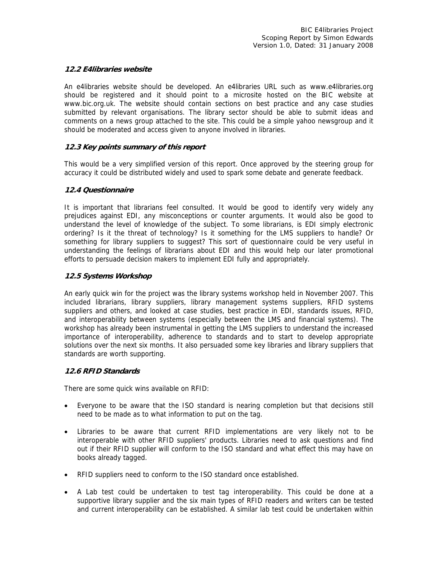#### **12.2 E4libraries website**

An e4libraries website should be developed. An e4libraries URL such as www.e4libraries.org should be registered and it should point to a microsite hosted on the BIC website at www.bic.org.uk. The website should contain sections on best practice and any case studies submitted by relevant organisations. The library sector should be able to submit ideas and comments on a news group attached to the site. This could be a simple yahoo newsgroup and it should be moderated and access given to anyone involved in libraries.

#### **12.3 Key points summary of this report**

This would be a very simplified version of this report. Once approved by the steering group for accuracy it could be distributed widely and used to spark some debate and generate feedback.

#### **12.4 Questionnaire**

It is important that librarians feel consulted. It would be good to identify very widely any prejudices against EDI, any misconceptions or counter arguments. It would also be good to understand the level of knowledge of the subject. To some librarians, is EDI simply electronic ordering? Is it the threat of technology? Is it something for the LMS suppliers to handle? Or something for library suppliers to suggest? This sort of questionnaire could be very useful in understanding the feelings of librarians about EDI and this would help our later promotional efforts to persuade decision makers to implement EDI fully and appropriately.

#### **12.5 Systems Workshop**

An early quick win for the project was the library systems workshop held in November 2007. This included librarians, library suppliers, library management systems suppliers, RFID systems suppliers and others, and looked at case studies, best practice in EDI, standards issues, RFID, and interoperability between systems (especially between the LMS and financial systems). The workshop has already been instrumental in getting the LMS suppliers to understand the increased importance of interoperability, adherence to standards and to start to develop appropriate solutions over the next six months. It also persuaded some key libraries and library suppliers that standards are worth supporting.

#### **12.6 RFID Standards**

There are some quick wins available on RFID:

- Everyone to be aware that the ISO standard is nearing completion but that decisions still need to be made as to what information to put on the tag.
- Libraries to be aware that current RFID implementations are very likely not to be interoperable with other RFID suppliers' products. Libraries need to ask questions and find out if their RFID supplier will conform to the ISO standard and what effect this may have on books already tagged.
- RFID suppliers need to conform to the ISO standard once established.
- A Lab test could be undertaken to test tag interoperability. This could be done at a supportive library supplier and the six main types of RFID readers and writers can be tested and current interoperability can be established. A similar lab test could be undertaken within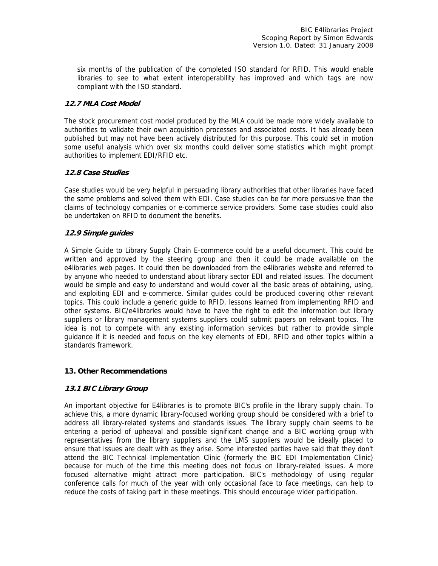six months of the publication of the completed ISO standard for RFID. This would enable libraries to see to what extent interoperability has improved and which tags are now compliant with the ISO standard.

# **12.7 MLA Cost Model**

The stock procurement cost model produced by the MLA could be made more widely available to authorities to validate their own acquisition processes and associated costs. It has already been published but may not have been actively distributed for this purpose. This could set in motion some useful analysis which over six months could deliver some statistics which might prompt authorities to implement EDI/RFID etc.

# **12.8 Case Studies**

Case studies would be very helpful in persuading library authorities that other libraries have faced the same problems and solved them with EDI. Case studies can be far more persuasive than the claims of technology companies or e-commerce service providers. Some case studies could also be undertaken on RFID to document the benefits.

# **12.9 Simple guides**

A Simple Guide to Library Supply Chain E-commerce could be a useful document. This could be written and approved by the steering group and then it could be made available on the e4libraries web pages. It could then be downloaded from the e4libraries website and referred to by anyone who needed to understand about library sector EDI and related issues. The document would be simple and easy to understand and would cover all the basic areas of obtaining, using, and exploiting EDI and e-commerce. Similar guides could be produced covering other relevant topics. This could include a generic guide to RFID, lessons learned from implementing RFID and other systems. BIC/e4libraries would have to have the right to edit the information but library suppliers or library management systems suppliers could submit papers on relevant topics. The idea is not to compete with any existing information services but rather to provide simple guidance if it is needed and focus on the key elements of EDI, RFID and other topics within a standards framework.

# **13. Other Recommendations**

# **13.1 BIC Library Group**

An important objective for E4libraries is to promote BIC's profile in the library supply chain. To achieve this, a more dynamic library-focused working group should be considered with a brief to address all library-related systems and standards issues. The library supply chain seems to be entering a period of upheaval and possible significant change and a BIC working group with representatives from the library suppliers and the LMS suppliers would be ideally placed to ensure that issues are dealt with as they arise. Some interested parties have said that they don't attend the BIC Technical Implementation Clinic (formerly the BIC EDI Implementation Clinic) because for much of the time this meeting does not focus on library-related issues. A more focused alternative might attract more participation. BIC's methodology of using regular conference calls for much of the year with only occasional face to face meetings, can help to reduce the costs of taking part in these meetings. This should encourage wider participation.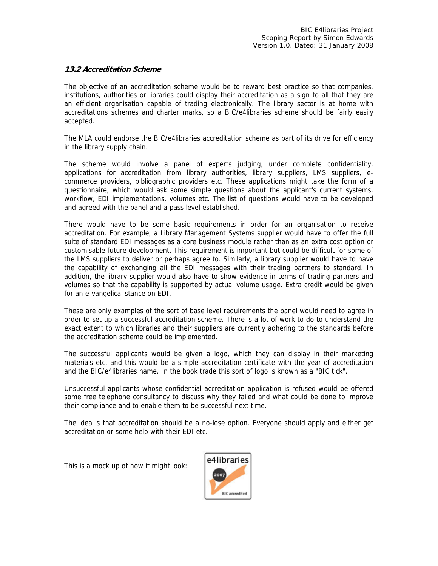#### **13.2 Accreditation Scheme**

The objective of an accreditation scheme would be to reward best practice so that companies, institutions, authorities or libraries could display their accreditation as a sign to all that they are an efficient organisation capable of trading electronically. The library sector is at home with accreditations schemes and charter marks, so a BIC/e4libraries scheme should be fairly easily accepted.

The MLA could endorse the BIC/e4libraries accreditation scheme as part of its drive for efficiency in the library supply chain.

The scheme would involve a panel of experts judging, under complete confidentiality, applications for accreditation from library authorities, library suppliers, LMS suppliers, ecommerce providers, bibliographic providers etc. These applications might take the form of a questionnaire, which would ask some simple questions about the applicant's current systems, workflow, EDI implementations, volumes etc. The list of questions would have to be developed and agreed with the panel and a pass level established.

There would have to be some basic requirements in order for an organisation to receive accreditation. For example, a Library Management Systems supplier would have to offer the full suite of standard EDI messages as a core business module rather than as an extra cost option or customisable future development. This requirement is important but could be difficult for some of the LMS suppliers to deliver or perhaps agree to. Similarly, a library supplier would have to have the capability of exchanging all the EDI messages with their trading partners to standard. In addition, the library supplier would also have to show evidence in terms of trading partners and volumes so that the capability is supported by actual volume usage. Extra credit would be given for an e-vangelical stance on EDI.

These are only examples of the sort of base level requirements the panel would need to agree in order to set up a successful accreditation scheme. There is a lot of work to do to understand the exact extent to which libraries and their suppliers are currently adhering to the standards before the accreditation scheme could be implemented.

The successful applicants would be given a logo, which they can display in their marketing materials etc. and this would be a simple accreditation certificate with the year of accreditation and the BIC/e4libraries name. In the book trade this sort of logo is known as a "BIC tick".

Unsuccessful applicants whose confidential accreditation application is refused would be offered some free telephone consultancy to discuss why they failed and what could be done to improve their compliance and to enable them to be successful next time.

The idea is that accreditation should be a no-lose option. Everyone should apply and either get accreditation or some help with their EDI etc.

This is a mock up of how it might look:

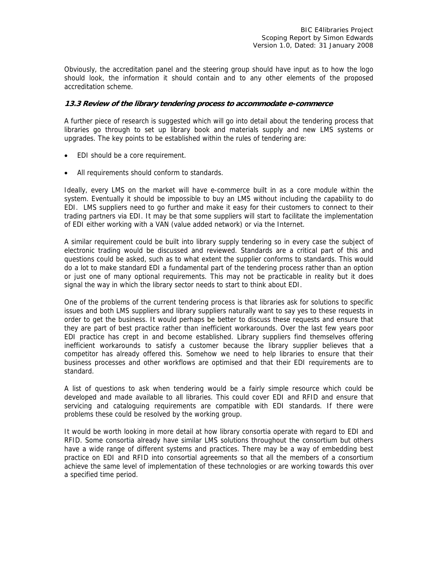Obviously, the accreditation panel and the steering group should have input as to how the logo should look, the information it should contain and to any other elements of the proposed accreditation scheme.

#### **13.3 Review of the library tendering process to accommodate e-commerce**

A further piece of research is suggested which will go into detail about the tendering process that libraries go through to set up library book and materials supply and new LMS systems or upgrades. The key points to be established within the rules of tendering are:

- EDI should be a core requirement.
- All requirements should conform to standards.

Ideally, every LMS on the market will have e-commerce built in as a core module within the system. Eventually it should be impossible to buy an LMS without including the capability to do EDI. LMS suppliers need to go further and make it easy for their customers to connect to their trading partners via EDI. It may be that some suppliers will start to facilitate the implementation of EDI either working with a VAN (value added network) or via the Internet.

A similar requirement could be built into library supply tendering so in every case the subject of electronic trading would be discussed and reviewed. Standards are a critical part of this and questions could be asked, such as to what extent the supplier conforms to standards. This would do a lot to make standard EDI a fundamental part of the tendering process rather than an option or just one of many optional requirements. This may not be practicable in reality but it does signal the way in which the library sector needs to start to think about EDI.

One of the problems of the current tendering process is that libraries ask for solutions to specific issues and both LMS suppliers and library suppliers naturally want to say yes to these requests in order to get the business. It would perhaps be better to discuss these requests and ensure that they are part of best practice rather than inefficient workarounds. Over the last few years poor EDI practice has crept in and become established. Library suppliers find themselves offering inefficient workarounds to satisfy a customer because the library supplier believes that a competitor has already offered this. Somehow we need to help libraries to ensure that their business processes and other workflows are optimised and that their EDI requirements are to standard.

A list of questions to ask when tendering would be a fairly simple resource which could be developed and made available to all libraries. This could cover EDI and RFID and ensure that servicing and cataloguing requirements are compatible with EDI standards. If there were problems these could be resolved by the working group.

It would be worth looking in more detail at how library consortia operate with regard to EDI and RFID. Some consortia already have similar LMS solutions throughout the consortium but others have a wide range of different systems and practices. There may be a way of embedding best practice on EDI and RFID into consortial agreements so that all the members of a consortium achieve the same level of implementation of these technologies or are working towards this over a specified time period.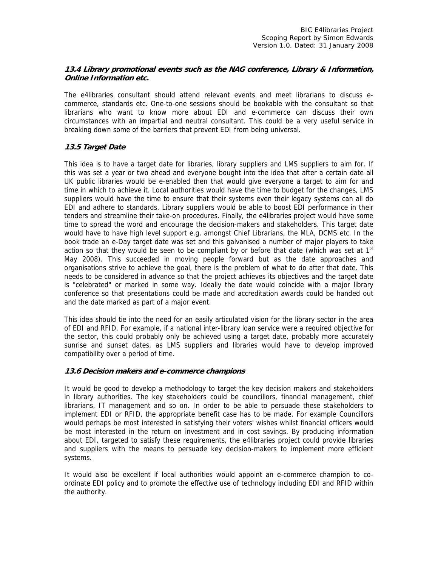# **13.4 Library promotional events such as the NAG conference, Library & Information, Online Information etc.**

The e4libraries consultant should attend relevant events and meet librarians to discuss ecommerce, standards etc. One-to-one sessions should be bookable with the consultant so that librarians who want to know more about EDI and e-commerce can discuss their own circumstances with an impartial and neutral consultant. This could be a very useful service in breaking down some of the barriers that prevent EDI from being universal.

# **13.5 Target Date**

This idea is to have a target date for libraries, library suppliers and LMS suppliers to aim for. If this was set a year or two ahead and everyone bought into the idea that after a certain date all UK public libraries would be e-enabled then that would give everyone a target to aim for and time in which to achieve it. Local authorities would have the time to budget for the changes, LMS suppliers would have the time to ensure that their systems even their legacy systems can all do EDI and adhere to standards. Library suppliers would be able to boost EDI performance in their tenders and streamline their take-on procedures. Finally, the e4libraries project would have some time to spread the word and encourage the decision-makers and stakeholders. This target date would have to have high level support e.g. amongst Chief Librarians, the MLA, DCMS etc. In the book trade an e-Day target date was set and this galvanised a number of major players to take action so that they would be seen to be compliant by or before that date (which was set at  $1<sup>st</sup>$ May 2008). This succeeded in moving people forward but as the date approaches and organisations strive to achieve the goal, there is the problem of what to do after that date. This needs to be considered in advance so that the project achieves its objectives and the target date is "celebrated" or marked in some way. Ideally the date would coincide with a major library conference so that presentations could be made and accreditation awards could be handed out and the date marked as part of a major event.

This idea should tie into the need for an easily articulated vision for the library sector in the area of EDI and RFID. For example, if a national inter-library loan service were a required objective for the sector, this could probably only be achieved using a target date, probably more accurately sunrise and sunset dates, as LMS suppliers and libraries would have to develop improved compatibility over a period of time.

# **13.6 Decision makers and e-commerce champions**

It would be good to develop a methodology to target the key decision makers and stakeholders in library authorities. The key stakeholders could be councillors, financial management, chief librarians, IT management and so on. In order to be able to persuade these stakeholders to implement EDI or RFID, the appropriate benefit case has to be made. For example Councillors would perhaps be most interested in satisfying their voters' wishes whilst financial officers would be most interested in the return on investment and in cost savings. By producing information about EDI, targeted to satisfy these requirements, the e4libraries project could provide libraries and suppliers with the means to persuade key decision-makers to implement more efficient systems.

It would also be excellent if local authorities would appoint an e-commerce champion to coordinate EDI policy and to promote the effective use of technology including EDI and RFID within the authority.